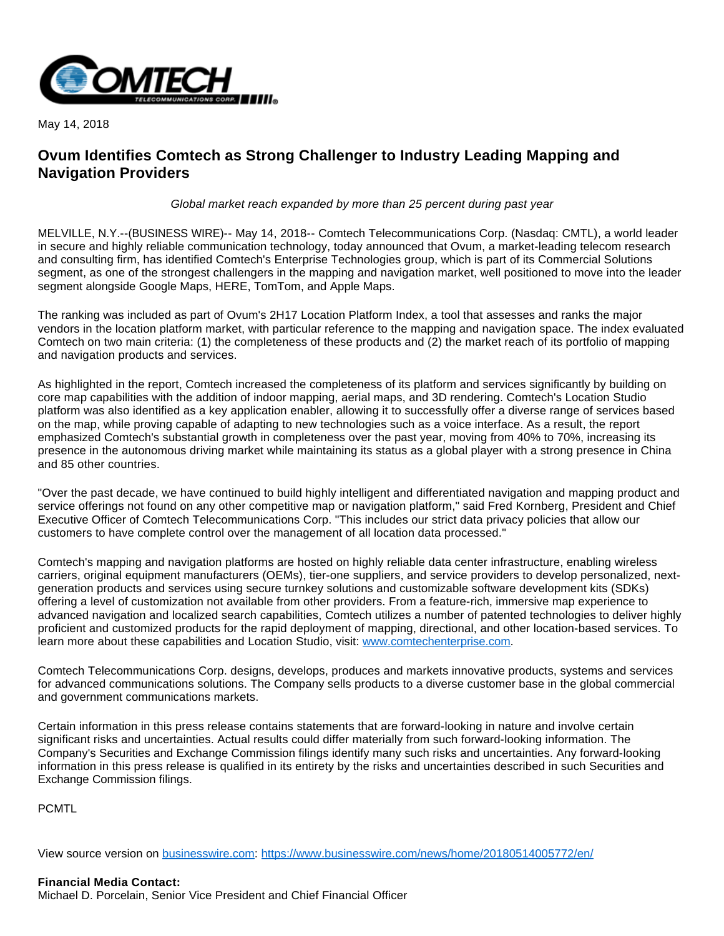

May 14, 2018

## **Ovum Identifies Comtech as Strong Challenger to Industry Leading Mapping and Navigation Providers**

Global market reach expanded by more than 25 percent during past year

MELVILLE, N.Y.--(BUSINESS WIRE)-- May 14, 2018-- Comtech Telecommunications Corp. (Nasdaq: CMTL), a world leader in secure and highly reliable communication technology, today announced that Ovum, a market-leading telecom research and consulting firm, has identified Comtech's Enterprise Technologies group, which is part of its Commercial Solutions segment, as one of the strongest challengers in the mapping and navigation market, well positioned to move into the leader segment alongside Google Maps, HERE, TomTom, and Apple Maps.

The ranking was included as part of Ovum's 2H17 Location Platform Index, a tool that assesses and ranks the major vendors in the location platform market, with particular reference to the mapping and navigation space. The index evaluated Comtech on two main criteria: (1) the completeness of these products and (2) the market reach of its portfolio of mapping and navigation products and services.

As highlighted in the report, Comtech increased the completeness of its platform and services significantly by building on core map capabilities with the addition of indoor mapping, aerial maps, and 3D rendering. Comtech's Location Studio platform was also identified as a key application enabler, allowing it to successfully offer a diverse range of services based on the map, while proving capable of adapting to new technologies such as a voice interface. As a result, the report emphasized Comtech's substantial growth in completeness over the past year, moving from 40% to 70%, increasing its presence in the autonomous driving market while maintaining its status as a global player with a strong presence in China and 85 other countries.

"Over the past decade, we have continued to build highly intelligent and differentiated navigation and mapping product and service offerings not found on any other competitive map or navigation platform," said Fred Kornberg, President and Chief Executive Officer of Comtech Telecommunications Corp. "This includes our strict data privacy policies that allow our customers to have complete control over the management of all location data processed."

Comtech's mapping and navigation platforms are hosted on highly reliable data center infrastructure, enabling wireless carriers, original equipment manufacturers (OEMs), tier-one suppliers, and service providers to develop personalized, nextgeneration products and services using secure turnkey solutions and customizable software development kits (SDKs) offering a level of customization not available from other providers. From a feature-rich, immersive map experience to advanced navigation and localized search capabilities, Comtech utilizes a number of patented technologies to deliver highly proficient and customized products for the rapid deployment of mapping, directional, and other location-based services. To learn more about these capabilities and Location Studio, visit: [www.comtechenterprise.com.](http://cts.businesswire.com/ct/CT?id=smartlink&url=http%3A%2F%2Fwww.comtechenterprise.com&esheet=51805716&newsitemid=20180514005772&lan=en-US&anchor=www.comtechenterprise.com&index=1&md5=ead7229a1ccebcbc1ecff5dce5734b01)

Comtech Telecommunications Corp. designs, develops, produces and markets innovative products, systems and services for advanced communications solutions. The Company sells products to a diverse customer base in the global commercial and government communications markets.

Certain information in this press release contains statements that are forward-looking in nature and involve certain significant risks and uncertainties. Actual results could differ materially from such forward-looking information. The Company's Securities and Exchange Commission filings identify many such risks and uncertainties. Any forward-looking information in this press release is qualified in its entirety by the risks and uncertainties described in such Securities and Exchange Commission filings.

PCMTL

View source version on [businesswire.com](http://businesswire.com/): <https://www.businesswire.com/news/home/20180514005772/en/>